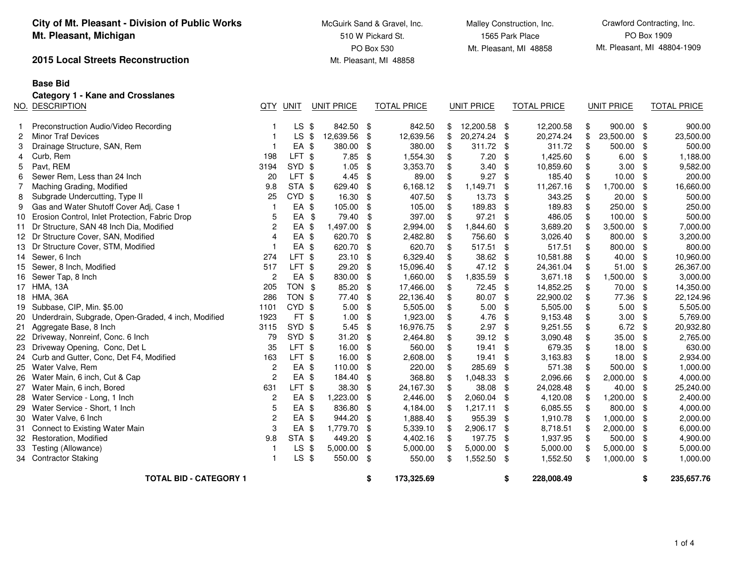|    | City of Mt. Pleasant - Division of Public Works<br>Mt. Pleasant, Michigan |                |                   |                   |               | McGuirk Sand & Gravel, Inc.<br>510 W Pickard St. | Malley Construction, Inc.<br>1565 Park Place<br>Mt. Pleasant, MI 48858 |               |               |                    |    |                   | Crawford Contracting, Inc.<br>PO Box 1909 |                             |  |  |
|----|---------------------------------------------------------------------------|----------------|-------------------|-------------------|---------------|--------------------------------------------------|------------------------------------------------------------------------|---------------|---------------|--------------------|----|-------------------|-------------------------------------------|-----------------------------|--|--|
|    | 2015 Local Streets Reconstruction                                         |                |                   |                   |               | PO Box 530<br>Mt. Pleasant, MI 48858             |                                                                        |               |               |                    |    |                   |                                           | Mt. Pleasant, MI 48804-1909 |  |  |
|    | <b>Base Bid</b>                                                           |                |                   |                   |               |                                                  |                                                                        |               |               |                    |    |                   |                                           |                             |  |  |
|    | <b>Category 1 - Kane and Crosslanes</b>                                   |                |                   |                   |               |                                                  |                                                                        |               |               |                    |    |                   |                                           |                             |  |  |
|    | NO. DESCRIPTION                                                           |                | QTY UNIT          | <b>UNIT PRICE</b> |               | <b>TOTAL PRICE</b>                               |                                                                        | UNIT PRICE    |               | <b>TOTAL PRICE</b> |    | <b>UNIT PRICE</b> |                                           | <b>TOTAL PRICE</b>          |  |  |
| 1. | Preconstruction Audio/Video Recording                                     | 1              | $LS$ \$           | 842.50            | \$            | 842.50                                           | \$                                                                     | 12,200.58 \$  |               | 12,200.58          | \$ | $900.00$ \$       |                                           | 900.00                      |  |  |
| 2  | <b>Minor Traf Devices</b>                                                 | 1              | <b>LS</b>         | \$<br>12,639.56   | \$            | 12,639.56                                        | \$                                                                     | 20,274.24 \$  |               | 20,274.24          | \$ | 23,500.00         | -\$                                       | 23,500.00                   |  |  |
| 3  | Drainage Structure, SAN, Rem                                              | 1              | EA \$             | 380.00            | $\frac{1}{2}$ | 380.00                                           | $\$\$                                                                  | 311.72        | $\frac{1}{2}$ | 311.72             | \$ | 500.00            | \$                                        | 500.00                      |  |  |
| 4  | Curb, Rem                                                                 | 198            | LFT <sub>\$</sub> | 7.85              | \$            | 1,554.30                                         | \$                                                                     | 7.20          | \$            | 1,425.60           | \$ | 6.00              | -\$                                       | 1,188.00                    |  |  |
| 5  | Pavt, REM                                                                 | 3194           | SYD \$            | 1.05              | \$            | 3,353.70                                         | \$                                                                     | 3.40          | \$            | 10,859.60          | \$ | 3.00              | \$                                        | 9,582.00                    |  |  |
| 6  | Sewer Rem, Less than 24 Inch                                              | 20             | LFT <sub>\$</sub> | 4.45              | \$            | 89.00                                            | \$                                                                     | $9.27$ \$     |               | 185.40             | \$ | 10.00             | - \$                                      | 200.00                      |  |  |
| 7  | Maching Grading, Modified                                                 | 9.8            | STA \$            | 629.40            | \$            | 6,168.12                                         | \$                                                                     | 1,149.71      | \$            | 11,267.16          | \$ | 1,700.00          | - \$                                      | 16,660.00                   |  |  |
| 8  | Subgrade Undercutting, Type II                                            | 25             | CYD \$            | 16.30             | \$            | 407.50                                           | \$                                                                     | 13.73         | \$            | 343.25             | \$ | 20.00             | -\$                                       | 500.00                      |  |  |
| 9  | Gas and Water Shutoff Cover Adj, Case 1                                   | $\mathbf{1}$   | EA \$             | 105.00            | \$            | 105.00                                           | \$                                                                     | 189.83        | \$            | 189.83             | \$ | 250.00            | -\$                                       | 250.00                      |  |  |
| 10 | Erosion Control, Inlet Protection, Fabric Drop                            | 5              | EA                | \$<br>79.40       | \$            | 397.00                                           | \$                                                                     | 97.21         | \$            | 486.05             | \$ | 100.00            | - \$                                      | 500.00                      |  |  |
| 11 | Dr Structure, SAN 48 Inch Dia, Modified                                   | $\overline{c}$ | EA \$             | 1,497.00          | \$            | 2,994.00                                         | \$                                                                     | 1,844.60      | \$            | 3,689.20           | \$ | 3,500.00          | - \$                                      | 7,000.00                    |  |  |
|    | 12 Dr Structure Cover, SAN, Modified                                      | 4              | EA \$             | 620.70            | \$            | 2,482.80                                         | \$                                                                     | 756.60        | \$            | 3,026.40           | \$ | 800.00            | - \$                                      | 3,200.00                    |  |  |
| 13 | Dr Structure Cover, STM, Modified                                         | $\mathbf{1}$   | EA \$             | 620.70            | \$            | 620.70                                           | \$                                                                     | 517.51        | \$            | 517.51             | \$ | 800.00            | - \$                                      | 800.00                      |  |  |
|    | 14 Sewer, 6 Inch                                                          | 274            | LFT \$            | 23.10             | \$            | 6,329.40                                         | \$                                                                     | 38.62 \$      |               | 10,581.88          | \$ | 40.00             | - \$                                      | 10,960.00                   |  |  |
|    | 15 Sewer, 8 Inch, Modified                                                | 517            | LFT \$            | 29.20             | \$            | 15,096.40                                        | \$                                                                     | 47.12 \$      |               | 24,361.04          | \$ | 51.00             | - \$                                      | 26,367.00                   |  |  |
|    | 16 Sewer Tap, 8 Inch                                                      | $\overline{c}$ | EA \$             | 830.00            | \$            | 1,660.00                                         | \$                                                                     | 1,835.59      | \$            | 3,671.18           | \$ | 1,500.00          | - \$                                      | 3,000.00                    |  |  |
|    | 17 HMA, 13A                                                               | 205            | TON \$            | 85.20             | \$            | 17,466.00                                        | \$                                                                     | 72.45         | \$            | 14,852.25          | \$ | 70.00             | - \$                                      | 14,350.00                   |  |  |
|    | 18 HMA, 36A                                                               | 286            | TON \$            | 77.40             | \$            | 22,136.40                                        | \$                                                                     | 80.07         | \$            | 22,900.02          | \$ | 77.36             | \$                                        | 22,124.96                   |  |  |
| 19 | Subbase, CIP, Min. \$5.00                                                 | 1101           | CYD <sub>\$</sub> | 5.00              | \$            | 5,505.00                                         | \$                                                                     | 5.00          | -\$           | 5,505.00           | \$ | 5.00              | - \$                                      | 5,505.00                    |  |  |
| 20 | Underdrain, Subgrade, Open-Graded, 4 inch, Modified                       | 1923           | FT <sub>\$</sub>  | 1.00              | \$            | 1,923.00                                         | \$                                                                     | 4.76          | -\$           | 9,153.48           | \$ | 3.00              | - \$                                      | 5,769.00                    |  |  |
| 21 | Aggregate Base, 8 Inch                                                    | 3115           | SYD \$            | 5.45              | \$            | 16,976.75                                        | \$                                                                     | $2.97$ \$     |               | 9,251.55           | \$ | 6.72              | $\frac{1}{2}$                             | 20,932.80                   |  |  |
|    | 22 Driveway, Nonreinf, Conc. 6 Inch                                       | 79             | SYD \$            | 31.20             | \$            | 2,464.80                                         | \$                                                                     | 39.12 \$      |               | 3,090.48           | \$ | 35.00             | - \$                                      | 2,765.00                    |  |  |
| 23 | Driveway Opening, Conc, Det L                                             | 35             | LFT \$            | 16.00             | \$            | 560.00                                           | \$                                                                     | 19.41         | \$            | 679.35             | \$ | 18.00             | - \$                                      | 630.00                      |  |  |
| 24 | Curb and Gutter, Conc, Det F4, Modified                                   | 163            | LFT \$            | 16.00             | \$            | 2,608.00                                         | \$                                                                     | $19.41$ \$    |               | 3,163.83           | \$ | 18.00             | - \$                                      | 2,934.00                    |  |  |
| 25 | Water Valve, Rem                                                          | $\overline{2}$ | EA \$             | 110.00            | \$            | 220.00                                           | \$                                                                     | 285.69        | -\$           | 571.38             | \$ | 500.00            | -\$                                       | 1,000.00                    |  |  |
| 26 | Water Main, 6 inch, Cut & Cap                                             | $\overline{2}$ | EA \$             | 184.40            | \$            | 368.80                                           | \$                                                                     | 1,048.33 \$   |               | 2,096.66           | \$ | 2,000.00          | - \$                                      | 4,000.00                    |  |  |
| 27 | Water Main, 6 inch, Bored                                                 | 631            | LFT \$            | 38.30             | \$            | 24,167.30                                        | \$                                                                     | 38.08         | \$            | 24,028.48          | \$ | 40.00             | - \$                                      | 25,240.00                   |  |  |
| 28 | Water Service - Long, 1 Inch                                              | $\overline{2}$ | EA \$             | 1,223.00          | \$            | 2,446.00                                         | \$                                                                     | 2,060.04      | \$            | 4,120.08           | \$ | 1,200.00          | - \$                                      | 2,400.00                    |  |  |
| 29 | Water Service - Short, 1 Inch                                             | 5              | EA \$             | 836.80            | \$            | 4,184.00                                         | -\$                                                                    | $1,217.11$ \$ |               | 6,085.55           | \$ | 800.00            | - \$                                      | 4,000.00                    |  |  |
| 30 | Water Valve, 6 Inch                                                       | $\overline{c}$ | EA \$             | 944.20            | \$            | 1,888.40                                         | \$                                                                     | 955.39        | \$            | 1,910.78           | \$ | 1,000.00          | - \$                                      | 2,000.00                    |  |  |
| 31 | Connect to Existing Water Main                                            | 3              | EA \$             | 1,779.70          | \$            | 5,339.10                                         | \$                                                                     | 2,906.17 \$   |               | 8,718.51           | \$ | 2,000.00          | - \$                                      | 6,000.00                    |  |  |
| 32 | Restoration, Modified                                                     | 9.8            | STA \$            | 449.20            | \$            | 4,402.16                                         | \$                                                                     | 197.75        | \$            | 1,937.95           | \$ | 500.00            | - \$                                      | 4,900.00                    |  |  |
| 33 | Testing (Allowance)                                                       | $\mathbf{1}$   | <b>LS</b>         | \$<br>5,000.00    | \$            | 5,000.00                                         | \$                                                                     | 5,000.00      | \$            | 5,000.00           | \$ | 5,000.00          | - \$                                      | 5,000.00                    |  |  |
|    | 34 Contractor Staking                                                     | $\mathbf{1}$   | $LS$ \$           | 550.00 \$         |               | 550.00                                           | \$                                                                     | 1,552.50 \$   |               | 1,552.50           | \$ | 1,000.00          | - \$                                      | 1,000.00                    |  |  |
|    | <b>TOTAL BID - CATEGORY 1</b>                                             |                |                   |                   | \$            | 173,325.69                                       |                                                                        |               | \$            | 228,008.49         |    |                   | \$                                        | 235,657.76                  |  |  |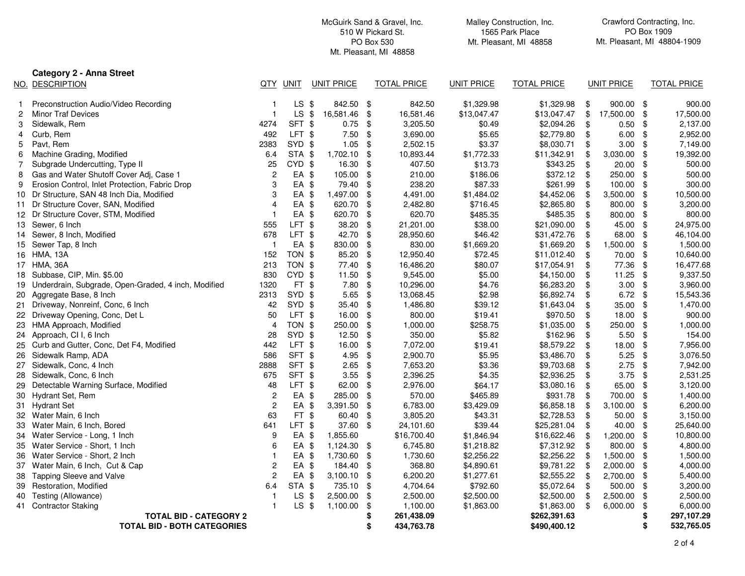|    |                                                        |                |         |                   |      | McGuirk Sand & Gravel, Inc.<br>510 W Pickard St.<br>PO Box 530<br>Mt. Pleasant, MI 48858 |                   | Malley Construction, Inc.<br>1565 Park Place<br>Mt. Pleasant, MI 48858 |      |                   |      | Crawford Contracting, Inc.<br>PO Box 1909<br>Mt. Pleasant, MI 48804-1909 |  |  |
|----|--------------------------------------------------------|----------------|---------|-------------------|------|------------------------------------------------------------------------------------------|-------------------|------------------------------------------------------------------------|------|-------------------|------|--------------------------------------------------------------------------|--|--|
|    | <b>Category 2 - Anna Street</b>                        |                |         |                   |      |                                                                                          |                   |                                                                        |      |                   |      |                                                                          |  |  |
|    | NO. DESCRIPTION                                        | QTY            | UNIT    | <b>UNIT PRICE</b> |      | <b>TOTAL PRICE</b>                                                                       | <b>UNIT PRICE</b> | <b>TOTAL PRICE</b>                                                     |      | <b>UNIT PRICE</b> |      | <b>TOTAL PRICE</b>                                                       |  |  |
|    | Preconstruction Audio/Video Recording                  |                | $LS$ \$ | 842.50            | -\$  | 842.50                                                                                   | \$1,329.98        | \$1,329.98                                                             | \$   | $900.00$ \$       |      | 900.00                                                                   |  |  |
| 2  | <b>Minor Traf Devices</b>                              |                | $LS$ \$ | 16,581.46         | \$   | 16,581.46                                                                                | \$13,047.47       | \$13,047.47                                                            | \$   | 17,500.00 \$      |      | 17,500.00                                                                |  |  |
| 3  | Sidewalk, Rem                                          | 4274           | SFT \$  | 0.75              | -\$  | 3,205.50                                                                                 | \$0.49            | \$2,094.26                                                             | \$   | $0.50$ \$         |      | 2,137.00                                                                 |  |  |
| 4  | Curb, Rem                                              | 492            | LFT \$  | 7.50              | \$   | 3,690.00                                                                                 | \$5.65            | \$2,779.80                                                             | \$   | $6.00$ \$         |      | 2,952.00                                                                 |  |  |
| 5  | Pavt, Rem                                              | 2383           | SYD \$  | 1.05              | -\$  | 2,502.15                                                                                 | \$3.37            | \$8,030.71                                                             | \$   | $3.00$ \$         |      | 7,149.00                                                                 |  |  |
| 6  | Machine Grading, Modified                              | 6.4            | STA \$  | 1,702.10          | \$   | 10,893.44                                                                                | \$1,772.33        | \$11,342.91                                                            | \$   | $3,030.00$ \$     |      | 19,392.00                                                                |  |  |
|    | Subgrade Undercutting, Type II                         | 25             | CYD \$  | 16.30             | -\$  | 407.50                                                                                   | \$13.73           | \$343.25                                                               | \$   | $20.00$ \$        |      | 500.00                                                                   |  |  |
| 8  | Gas and Water Shutoff Cover Adj, Case 1                | 2              | EA \$   | 105.00            | \$   | 210.00                                                                                   | \$186.06          | \$372.12                                                               | \$   | 250.00            | \$   | 500.00                                                                   |  |  |
| 9  | Erosion Control, Inlet Protection, Fabric Drop         | 3              | EA \$   | 79.40             | \$   | 238.20                                                                                   | \$87.33           | \$261.99                                                               | \$   | $100.00$ \$       |      | 300.00                                                                   |  |  |
|    | 10 Dr Structure, SAN 48 Inch Dia, Modified             | 3              | EA \$   | 1,497.00          | \$   | 4,491.00                                                                                 | \$1,484.02        | \$4,452.06                                                             | \$   | 3,500.00          | \$   | 10,500.00                                                                |  |  |
|    | 11 Dr Structure Cover, SAN, Modified                   | $\Delta$       | EA \$   | 620.70            | \$   | 2,482.80                                                                                 | \$716.45          | \$2,865.80                                                             | \$   | 800.00 \$         |      | 3,200.00                                                                 |  |  |
|    | 12 Dr Structure Cover, STM, Modified                   |                | EA \$   | 620.70            | \$   | 620.70                                                                                   | \$485.35          | \$485.35                                                               | \$   | 800.00 \$         |      | 800.00                                                                   |  |  |
|    | 13 Sewer, 6 Inch                                       | 555            | LFT \$  | 38.20             | \$   | 21,201.00                                                                                | \$38.00           | \$21,090.00                                                            | \$   | 45.00 \$          |      | 24,975.00                                                                |  |  |
|    | 14 Sewer, 8 Inch, Modified                             | 678            | LFT \$  | 42.70             | \$   | 28,950.60                                                                                | \$46.42           | \$31,472.76                                                            | \$   | 68.00 \$          |      | 46,104.00                                                                |  |  |
|    | 15 Sewer Tap, 8 Inch                                   | $\mathbf 1$    | EA \$   | 830.00            | \$   | 830.00                                                                                   | \$1,669.20        | \$1,669.20                                                             | \$   | 1,500.00          | \$   | 1,500.00                                                                 |  |  |
|    | 16 HMA, 13A                                            | 152            | TON \$  | 85.20             | \$   | 12,950.40                                                                                | \$72.45           | \$11,012.40                                                            | \$   | 70.00 \$          |      | 10,640.00                                                                |  |  |
|    | 17 HMA, 36A                                            | 213            | TON \$  | 77.40             | \$   | 16,486.20                                                                                | \$80.07           | \$17,054.91                                                            | \$   | 77.36             | \$   | 16,477.68                                                                |  |  |
|    | 18 Subbase, CIP, Min. \$5.00                           | 830            | CYD \$  | 11.50             | \$   | 9,545.00                                                                                 | \$5.00            | \$4,150.00                                                             | \$   | 11.25             | \$   | 9,337.50                                                                 |  |  |
|    | 19 Underdrain, Subgrade, Open-Graded, 4 inch, Modified | 1320           | FT \$   | 7.80              | \$   | 10,296.00                                                                                | \$4.76            | \$6,283.20                                                             | \$   | $3.00$ \$         |      | 3,960.00                                                                 |  |  |
|    | 20 Aggregate Base, 8 Inch                              | 2313           | SYD \$  | 5.65              | \$   | 13,068.45                                                                                | \$2.98            | \$6,892.74                                                             | \$   | $6.72$ \$         |      | 15,543.36                                                                |  |  |
| 21 | Driveway, Nonreinf, Conc, 6 Inch                       | 42             | SYD \$  | 35.40             | \$   | 1,486.80                                                                                 | \$39.12           | \$1,643.04                                                             | \$   | $35.00$ \$        |      | 1,470.00                                                                 |  |  |
| 22 | Driveway Opening, Conc, Det L                          | 50             | LFT \$  | 16.00             | \$   | 800.00                                                                                   | \$19.41           | \$970.50                                                               | \$   | $18.00$ \$        |      | 900.00                                                                   |  |  |
|    | 23 HMA Approach, Modified                              | 4              | TON \$  | 250.00            | \$   | 1,000.00                                                                                 | \$258.75          | \$1,035.00                                                             | \$   | 250.00            | \$   | 1,000.00                                                                 |  |  |
|    | 24 Approach, CI I, 6 Inch                              | 28             | SYD \$  | 12.50             | \$   | 350.00                                                                                   | \$5.82            | \$162.96                                                               | \$   | 5.50              | \$   | 154.00                                                                   |  |  |
| 25 | Curb and Gutter, Conc, Det F4, Modified                | 442            | LFT \$  | 16.00             | \$   | 7,072.00                                                                                 | \$19.41           | \$8,579.22                                                             | \$   | 18.00             | \$   | 7,956.00                                                                 |  |  |
| 26 | Sidewalk Ramp, ADA                                     | 586            | SFT \$  | 4.95              | \$   | 2,900.70                                                                                 | \$5.95            | \$3,486.70                                                             | \$   | 5.25              | \$   | 3,076.50                                                                 |  |  |
|    | 27 Sidewalk, Conc, 4 Inch                              | 2888           | SFT \$  | 2.65              | \$   | 7,653.20                                                                                 | \$3.36            | \$9,703.68                                                             | \$   | 2.75              | - \$ | 7,942.00                                                                 |  |  |
|    | 28 Sidewalk, Conc, 6 Inch                              | 675            | SFT \$  | 3.55              | \$   | 2,396.25                                                                                 | \$4.35            | \$2,936.25                                                             | \$   | $3.75$ \$         |      | 2,531.25                                                                 |  |  |
|    | 29 Detectable Warning Surface, Modified                | 48             | LFT \$  | 62.00             | \$   | 2,976.00                                                                                 | \$64.17           | \$3,080.16                                                             | \$   | 65.00 \$          |      | 3,120.00                                                                 |  |  |
|    | 30 Hydrant Set, Rem                                    | 2              | EA \$   | 285.00            | \$   | 570.00                                                                                   | \$465.89          | \$931.78                                                               | \$   | 700.00 \$         |      | 1,400.00                                                                 |  |  |
| 31 | <b>Hydrant Set</b>                                     | $\overline{c}$ | EA \$   | 3,391.50          | \$   | 6,783.00                                                                                 | \$3,429.09        | \$6,858.18                                                             | \$   | $3,100.00$ \$     |      | 6,200.00                                                                 |  |  |
|    | 32 Water Main, 6 Inch                                  | 63             | FT \$   | 60.40             | \$   | 3,805.20                                                                                 | \$43.31           | \$2,728.53                                                             | \$   | $50.00$ \$        |      | 3,150.00                                                                 |  |  |
| 33 | Water Main, 6 Inch, Bored                              | 641            | LFT \$  | 37.60             | -\$  | 24,101.60                                                                                | \$39.44           | \$25,281.04                                                            | \$   | 40.00 \$          |      | 25,640.00                                                                |  |  |
|    | 34 Water Service - Long, 1 Inch                        | q              | EA \$   | 1,855.60          |      | \$16,700.40                                                                              | \$1,846.94        | \$16,622.46                                                            | \$   | $1,200.00$ \$     |      | 10,800.00                                                                |  |  |
|    | 35 Water Service - Short, 1 Inch                       | 6              | EA \$   | 1,124.30 \$       |      | 6,745.80                                                                                 | \$1,218.82        | \$7,312.92                                                             | \$   | 800.00 \$         |      | 4,800.00                                                                 |  |  |
|    | 36 Water Service - Short, 2 Inch                       |                | EA \$   | 1,730.60 \$       |      | 1,730.60                                                                                 | \$2,256.22        | \$2,256.22                                                             | -\$  | 1,500.00 \$       |      | 1,500.00                                                                 |  |  |
|    | 37 Water Main, 6 Inch, Cut & Cap                       | 2              | EA \$   | 184.40            | -\$  | 368.80                                                                                   | \$4,890.61        | \$9,781.22                                                             | \$   | $2,000.00$ \$     |      | 4,000.00                                                                 |  |  |
|    | 38 Tapping Sleeve and Valve                            | $\overline{c}$ | EA \$   | 3,100.10          | \$   | 6,200.20                                                                                 | \$1,277.61        | \$2,555.22                                                             | -\$  | 2,700.00 \$       |      | 5,400.00                                                                 |  |  |
|    | 39 Restoration, Modified                               | 6.4            | STA \$  | 735.10            | - \$ | 4,704.64                                                                                 | \$792.60          | \$5,072.64                                                             | - \$ | 500.00 \$         |      | 3,200.00                                                                 |  |  |
| 40 | Testing (Allowance)                                    |                | $LS$ \$ | 2,500.00          | - \$ | 2,500.00                                                                                 | \$2,500.00        | \$2,500.00                                                             | \$   | 2,500.00          | \$   | 2,500.00                                                                 |  |  |
|    | 41 Contractor Staking                                  |                | $LS$ \$ | 1,100.00          | -\$  | 1,100.00                                                                                 | \$1,863.00        | \$1,863.00                                                             | \$   | 6,000.00          | \$   | 6,000.00                                                                 |  |  |
|    | <b>TOTAL BID - CATEGORY 2</b>                          |                |         |                   | S    | 261,438.09                                                                               |                   | \$262,391.63                                                           |      |                   |      | 297,107.29                                                               |  |  |
|    | <b>TOTAL BID - BOTH CATEGORIES</b>                     |                |         |                   | S    | 434,763.78                                                                               |                   | \$490,400.12                                                           |      |                   | S    | 532,765.05                                                               |  |  |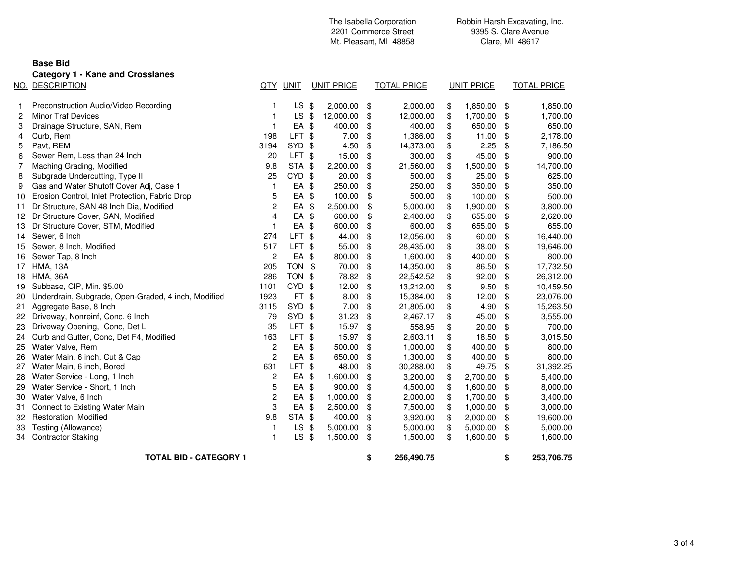|    |                                                     |                         |                   | Mt. Pleasant, MI 48858 |                   |    | Clare, MI 48617    |    |                   |    |                    |
|----|-----------------------------------------------------|-------------------------|-------------------|------------------------|-------------------|----|--------------------|----|-------------------|----|--------------------|
|    | <b>Base Bid</b>                                     |                         |                   |                        |                   |    |                    |    |                   |    |                    |
|    |                                                     |                         |                   |                        |                   |    |                    |    |                   |    |                    |
|    | <b>Category 1 - Kane and Crosslanes</b>             |                         |                   |                        |                   |    |                    |    |                   |    |                    |
|    | NO. DESCRIPTION                                     |                         | QTY UNIT          |                        | <b>UNIT PRICE</b> |    | <b>TOTAL PRICE</b> |    | <b>UNIT PRICE</b> |    | <b>TOTAL PRICE</b> |
| 1  | Preconstruction Audio/Video Recording               | -1                      | LS                | -\$                    | 2,000.00          | \$ | 2,000.00           | \$ | 1,850.00          | \$ | 1,850.00           |
| 2  | <b>Minor Traf Devices</b>                           | $\mathbf{1}$            | <b>LS</b>         | \$                     | 12,000.00         | \$ | 12,000.00          | \$ | 1,700.00          | \$ | 1,700.00           |
| 3  | Drainage Structure, SAN, Rem                        | 1                       | EA \$             |                        | 400.00            | \$ | 400.00             | \$ | 650.00            | \$ | 650.00             |
| 4  | Curb, Rem                                           | 198                     | LFT <sub>\$</sub> |                        | 7.00              | \$ | 1,386.00           | \$ | 11.00             | \$ | 2,178.00           |
| 5  | Pavt, REM                                           | 3194                    | SYD \$            |                        | 4.50              | \$ | 14,373.00          | \$ | 2.25              | \$ | 7,186.50           |
| 6  | Sewer Rem, Less than 24 Inch                        | 20                      | LFT \$            |                        | 15.00             | \$ | 300.00             | \$ | 45.00             | \$ | 900.00             |
| 7  | Maching Grading, Modified                           | 9.8                     | STA \$            |                        | 2,200.00          | \$ | 21,560.00          | \$ | 1,500.00          | \$ | 14,700.00          |
| 8  | Subgrade Undercutting, Type II                      | 25                      | CYD \$            |                        | 20.00             | \$ | 500.00             | \$ | 25.00             | \$ | 625.00             |
| 9  | Gas and Water Shutoff Cover Adj, Case 1             | $\mathbf{1}$            | EA \$             |                        | 250.00            | \$ | 250.00             | \$ | 350.00            | \$ | 350.00             |
| 10 | Erosion Control, Inlet Protection, Fabric Drop      | 5                       | EA \$             |                        | 100.00            | \$ | 500.00             | \$ | 100.00            | \$ | 500.00             |
| 11 | Dr Structure, SAN 48 Inch Dia, Modified             | $\overline{c}$          | EA \$             |                        | 2,500.00          | \$ | 5,000.00           | \$ | 1,900.00          | \$ | 3,800.00           |
| 12 | Dr Structure Cover, SAN, Modified                   | $\overline{4}$          | EA \$             |                        | 600.00            | \$ | 2,400.00           | \$ | 655.00            | \$ | 2,620.00           |
| 13 | Dr Structure Cover, STM, Modified                   | $\mathbf{1}$            | EA \$             |                        | 600.00            | \$ | 600.00             | \$ | 655.00            | \$ | 655.00             |
| 14 | Sewer, 6 Inch                                       | 274                     | LFT <sub>\$</sub> |                        | 44.00             | \$ | 12,056.00          | \$ | 60.00             | \$ | 16,440.00          |
| 15 | Sewer, 8 Inch, Modified                             | 517                     | LFT \$            |                        | 55.00             | \$ | 28,435.00          | \$ | 38.00             | \$ | 19,646.00          |
| 16 | Sewer Tap, 8 Inch                                   | $\overline{c}$          | EA \$             |                        | 800.00            | \$ | 1,600.00           | \$ | 400.00            | \$ | 800.00             |
| 17 | <b>HMA, 13A</b>                                     | 205                     | TON \$            |                        | 70.00             | \$ | 14,350.00          | \$ | 86.50             | \$ | 17,732.50          |
| 18 | <b>HMA, 36A</b>                                     | 286                     | TON \$            |                        | 78.82             | \$ | 22,542.52          | \$ | 92.00             | \$ | 26,312.00          |
| 19 | Subbase, CIP, Min. \$5.00                           | 1101                    | CYD               | -\$                    | 12.00             | \$ | 13,212.00          | \$ | 9.50              | \$ | 10,459.50          |
| 20 | Underdrain, Subgrade, Open-Graded, 4 inch, Modified | 1923                    | FT \$             |                        | 8.00              | \$ | 15,384.00          | \$ | 12.00             | \$ | 23,076.00          |
| 21 | Aggregate Base, 8 Inch                              | 3115                    | SYD \$            |                        | 7.00              | \$ | 21,805.00          | \$ | 4.90              | \$ | 15,263.50          |
| 22 | Driveway, Nonreinf, Conc. 6 Inch                    | 79                      | SYD \$            |                        | 31.23             | \$ | 2,467.17           | \$ | 45.00             | \$ | 3,555.00           |
| 23 | Driveway Opening, Conc, Det L                       | 35                      | LFT <sub>\$</sub> |                        | 15.97             | \$ | 558.95             | \$ | 20.00             | \$ | 700.00             |
| 24 | Curb and Gutter, Conc, Det F4, Modified             | 163                     | LFT \$            |                        | 15.97             | \$ | 2,603.11           | \$ | 18.50             | \$ | 3,015.50           |
| 25 | Water Valve, Rem                                    | $\overline{\mathbf{c}}$ | EA \$             |                        | 500.00            | \$ | 1,000.00           | \$ | 400.00            | \$ | 800.00             |
| 26 | Water Main, 6 inch, Cut & Cap                       | $\overline{c}$          | EA \$             |                        | 650.00            | \$ | 1,300.00           | \$ | 400.00            | \$ | 800.00             |
| 27 | Water Main, 6 inch, Bored                           | 631                     | LFT \$            |                        | 48.00             | \$ | 30,288.00          | \$ | 49.75             | \$ | 31,392.25          |
| 28 | Water Service - Long, 1 Inch                        | $\overline{c}$          | EA \$             |                        | 1,600.00          | \$ | 3,200.00           | \$ | 2,700.00          | \$ | 5,400.00           |
| 29 | Water Service - Short, 1 Inch                       | 5                       | EA \$             |                        | 900.00            | \$ | 4,500.00           | \$ | 1,600.00          | \$ | 8,000.00           |
| 30 | Water Valve, 6 Inch                                 | $\overline{c}$          | EA \$             |                        | 1,000.00          | \$ | 2,000.00           | \$ | 1,700.00          | \$ | 3,400.00           |
| 31 | Connect to Existing Water Main                      | 3                       | EA \$             |                        | 2,500.00          | \$ | 7,500.00           | \$ | 1,000.00          | \$ | 3,000.00           |
| 32 | Restoration, Modified                               | 9.8                     | STA \$            |                        | 400.00            | \$ | 3,920.00           | \$ | 2,000.00          | \$ | 19,600.00          |
| 33 | Testing (Allowance)                                 | 1                       | <b>LS</b>         | - \$                   | 5,000.00          | \$ | 5,000.00           | \$ | 5,000.00          | \$ | 5,000.00           |
| 34 | <b>Contractor Staking</b>                           | $\mathbf{1}$            | $LS$ \$           |                        | 1,500.00          | \$ | 1,500.00           | \$ | 1,600.00          | \$ | 1,600.00           |
|    | <b>TOTAL BID - CATEGORY 1</b>                       |                         |                   |                        |                   | \$ | 256.490.75         |    |                   | \$ | 253,706.75         |

**TOTAL BID - CATEGORY 1**

2201 Commerce Street

The Isabella Corporation

Robbin Harsh Excavating, Inc. 9395 S. Clare AvenueClare, MI 48617